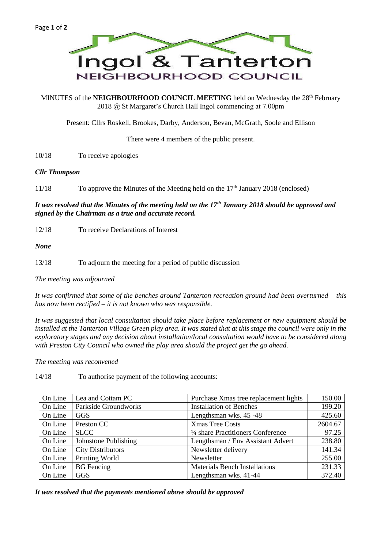

MINUTES of the **NEIGHBOURHOOD COUNCIL MEETING** held on Wednesday the 28<sup>th</sup> February 2018 @ St Margaret's Church Hall Ingol commencing at 7.00pm

Present: Cllrs Roskell, Brookes, Darby, Anderson, Bevan, McGrath, Soole and Ellison

There were 4 members of the public present.

10/18 To receive apologies

## *Cllr Thompson*

11/18 To approve the Minutes of the Meeting held on the 17<sup>th</sup> January 2018 (enclosed)

*It was resolved that the Minutes of the meeting held on the 17th January 2018 should be approved and signed by the Chairman as a true and accurate record.*

12/18 To receive Declarations of Interest

*None*

13/18 To adjourn the meeting for a period of public discussion

*The meeting was adjourned*

*It was confirmed that some of the benches around Tanterton recreation ground had been overturned – this has now been rectified – it is not known who was responsible.*

*It was suggested that local consultation should take place before replacement or new equipment should be*  installed at the Tanterton Village Green play area. It was stated that at this stage the council were only in the *exploratory stages and any decision about installation/local consultation would have to be considered along with Preston City Council who owned the play area should the project get the go ahead.*

*The meeting was reconvened*

14/18 To authorise payment of the following accounts:

| On Line | Lea and Cottam PC        | Purchase Xmas tree replacement lights | 150.00  |
|---------|--------------------------|---------------------------------------|---------|
| On Line | Parkside Groundworks     | <b>Installation of Benches</b>        | 199.20  |
| On Line | <b>GGS</b>               | Lengthsman wks. 45 -48                | 425.60  |
| On Line | Preston CC               | <b>Xmas Tree Costs</b>                | 2604.67 |
| On Line | <b>SLCC</b>              | 1/4 share Practitioners Conference    | 97.25   |
| On Line | Johnstone Publishing     | Lengthsman / Env Assistant Advert     | 238.80  |
| On Line | <b>City Distributors</b> | Newsletter delivery                   | 141.34  |
| On Line | Printing World           | Newsletter                            | 255.00  |
| On Line | <b>BG</b> Fencing        | <b>Materials Bench Installations</b>  | 231.33  |
| On Line | <b>GGS</b>               | Lengthsman wks. 41-44                 | 372.40  |

*It was resolved that the payments mentioned above should be approved*